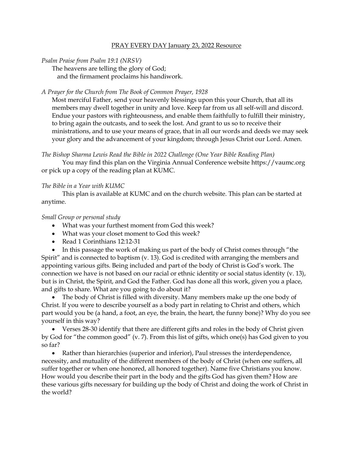## PRAY EVERY DAY January 23, 2022 Resource

*Psalm Praise from Psalm 19:1 (NRSV)*

The heavens are telling the glory of God;

and the firmament proclaims his handiwork.

## *A Prayer for the Church from The Book of Common Prayer, 1928*

Most merciful Father, send your heavenly blessings upon this your Church, that all its members may dwell together in unity and love. Keep far from us all self-will and discord. Endue your pastors with righteousness, and enable them faithfully to fulfill their ministry, to bring again the outcasts, and to seek the lost. And grant to us so to receive their ministrations, and to use your means of grace, that in all our words and deeds we may seek your glory and the advancement of your kingdom; through Jesus Christ our Lord. Amen.

*The Bishop Sharma Lewis Read the Bible in 2022 Challenge (One Year Bible Reading Plan)*

You may find this plan on the Virginia Annual Conference website [https://vaumc.org](https://vaumc.org/) or pick up a copy of the reading plan at KUMC.

## *The Bible in a Year with KUMC*

This plan is available at KUMC and on the church website. This plan can be started at anytime.

## *Small Group or personal study*

- What was your furthest moment from God this week?
- What was your closet moment to God this week?
- Read 1 Corinthians 12:12-31

• In this passage the work of making us part of the body of Christ comes through "the Spirit" and is connected to baptism (v. 13). God is credited with arranging the members and appointing various gifts. Being included and part of the body of Christ is God's work. The connection we have is not based on our racial or ethnic identity or social status identity (v. 13), but is in Christ, the Spirit, and God the Father. God has done all this work, given you a place, and gifts to share. What are you going to do about it?

• The body of Christ is filled with diversity. Many members make up the one body of Christ. If you were to describe yourself as a body part in relating to Christ and others, which part would you be (a hand, a foot, an eye, the brain, the heart, the funny bone)? Why do you see yourself in this way?

• Verses 28-30 identify that there are different gifts and roles in the body of Christ given by God for "the common good" (v. 7). From this list of gifts, which one(s) has God given to you so far?

• Rather than hierarchies (superior and inferior), Paul stresses the interdependence, necessity, and mutuality of the different members of the body of Christ (when one suffers, all suffer together or when one honored, all honored together). Name five Christians you know. How would you describe their part in the body and the gifts God has given them? How are these various gifts necessary for building up the body of Christ and doing the work of Christ in the world?